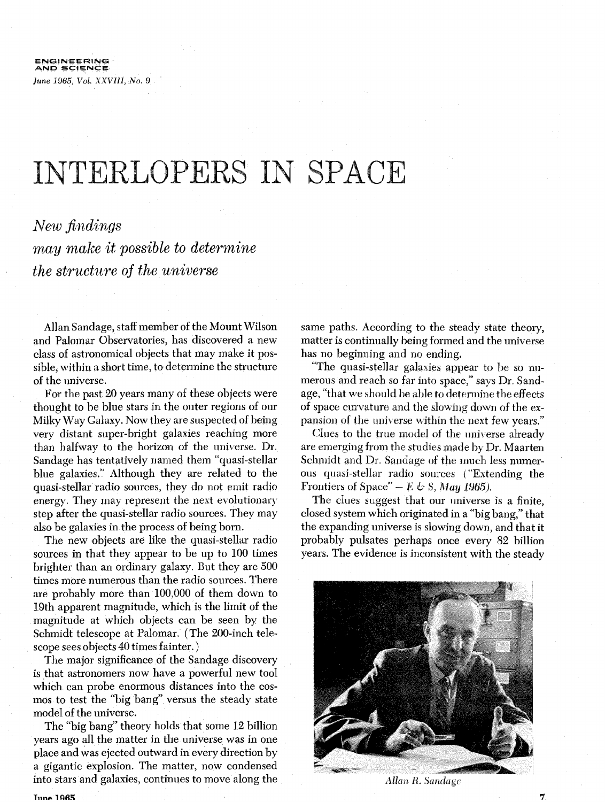## INTERLOPERS IN SPACE

## *New filldings*  may *make it possible to determine the structure of the universe*

Allan Sandage, staff member of the Mount Wilson and Palomar Observatories, has discovered a new class of astronomical objects that may make it possible, within a short time, to determine the structure of the universe.

For the past 20 years many of these objects were thought to be blue stars in the outer regions of our Milky Way Galaxy. Now they are suspected of being very distant super-bright galaxies reaching more than halfway to the horizon of the universe. Dr. Sandage has tentatively named them "quasi-stellar blue galaxies." Although they are related to the quasi-stellar radio sources, they do not emit radio energy. They may represent the next evolutionary step after the quasi-stellar radio sources. They may also be galaxies in the process of being born.

The new objects are like the quasi-stellar radio sources in that they appear to be up to 100 times brighter than an ordinary galaxy. But they are 500 times more numerous than the radio sources. There are probably more than 100,000 of them down to 19th apparent magnitude, which is the limit of the magnitude at which objects can be seen by the Schmidt telescope at Palomar. (The 200-inch telescope sees objects 40 times fainter. )

The major significance of the Sandage discovery is that astronomers now have a powerful new tool which can probe enormous distances into the cosmos to test the "big bang" versus the steady state model of the universe.

The "big bang" theory holds that some 12 billion years ago all the matter in tlie universe was in one place and was ejected outward in every direction by a gigantic explosion. The matter, now condensed into stars and galaxies, continues to move along the same paths. According to the steady state theory, matter is continually being formed and the universe has no beginning and no ending.

"The quasi-stellar galaxies appear to be so numerous and reach so far into space," says Dr. Sandage, "that we should be able to determine the effects of space curvature and the slowing down of the expansion of the universe within the next few years."

Clues to the true model of the universe already are emerging from the studies made by Dr. Maarten Schmidt and Dr. Sandage of the much less numerous quasi-stellar radio sources ("Extending the Frontiers of Space"  $-E \leftrightarrow S$ , *May 1965*).

The clues suggest that our universe is a finite, closed system which originated in a "big bang," that the expanding universe is slowing down, and that it probably pulsates perhaps once every 82 billion years. The evidence is inconsistent with the steady



Allan R. Sandage